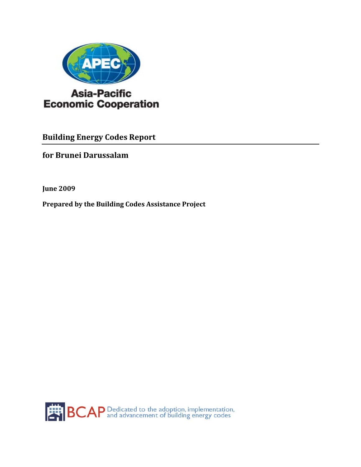

**Building Energy Codes Report** 

**for Brunei Darussalam** 

**June 2009**

**Prepared by the Building Codes Assistance Project**

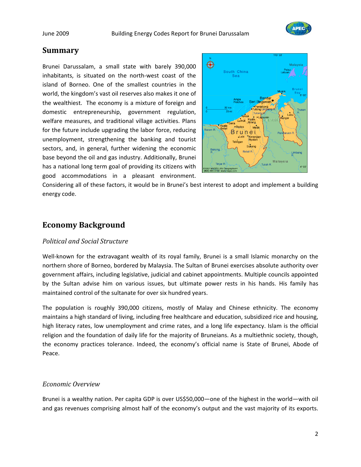

## **Summary**

Brunei Darussalam, a small state with barely 390,000 inhabitants, is situated on the north‐west coast of the island of Borneo. One of the smallest countries in the world, the kingdom's vast oil reserves also makes it one of the wealthiest. The economy is a mixture of foreign and domestic entrepreneurship, government regulation, welfare measures, and traditional village activities. Plans for the future include upgrading the labor force, reducing unemployment, strengthening the banking and tourist sectors, and, in general, further widening the economic base beyond the oil and gas industry. Additionally, Brunei has a national long term goal of providing its citizens with good accommodations in a pleasant environment.



Considering all of these factors, it would be in Brunei's best interest to adopt and implement a building energy code.

## **Economy Background**

#### *Political and Social Structure*

Well-known for the extravagant wealth of its royal family, Brunei is a small Islamic monarchy on the northern shore of Borneo, bordered by Malaysia. The Sultan of Brunei exercises absolute authority over government affairs, including legislative, judicial and cabinet appointments. Multiple councils appointed by the Sultan advise him on various issues, but ultimate power rests in his hands. His family has maintained control of the sultanate for over six hundred years.

The population is roughly 390,000 citizens, mostly of Malay and Chinese ethnicity. The economy maintains a high standard of living, including free healthcare and education, subsidized rice and housing, high literacy rates, low unemployment and crime rates, and a long life expectancy. Islam is the official religion and the foundation of daily life for the majority of Bruneians. As a multiethnic society, though, the economy practices tolerance. Indeed, the economy's official name is State of Brunei, Abode of Peace.

### *Economic Overview*

Brunei is a wealthy nation. Per capita GDP is over US\$50,000—one of the highest in the world—with oil and gas revenues comprising almost half of the economy's output and the vast majority of its exports.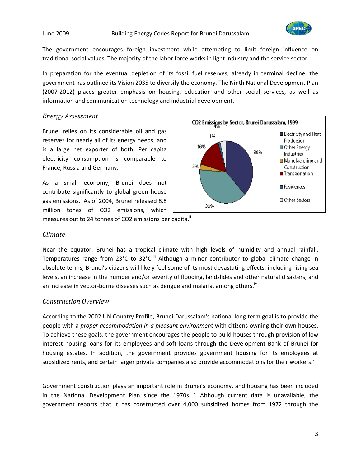

The government encourages foreign investment while attempting to limit foreign influence on traditional social values. The majority of the labor force works in light industry and the service sector.

In preparation for the eventual depletion of its fossil fuel reserves, already in terminal decline, the government has outlined its Vision 2035 to diversify the economy. The Ninth National Development Plan (2007‐2012) places greater emphasis on housing, education and other social services, as well as information and communication technology and industrial development.

### *Energy Assessment*

Brunei relies on its considerable oil and gas reserves for nearly all of its energy needs, and is a large net exporter of both. Per capita electricity consumption is comparable to France, Russia and Germany.<sup>1</sup>

As a small economy, Brunei does not contribute significantly to global green house gas emissions. As of 2004, Brunei released 8.8 million tones of CO2 emissions, which measures out to 24 tonnes of CO2 emissions per capita.<sup>ii</sup>



#### *Climate*

Near the equator, Brunei has a tropical climate with high levels of humidity and annual rainfall. Temperatures range from 23°C to 32°C.<sup>iii</sup> Although a minor contributor to global climate change in absolute terms, Brunei's citizens will likely feel some of its most devastating effects, including rising sea levels, an increase in the number and/or severity of flooding, landslides and other natural disasters, and an increase in vector-borne diseases such as dengue and malaria, among others.<sup>iv</sup>

#### *Construction Overview*

According to the 2002 UN Country Profile, Brunei Darussalam's national long term goal is to provide the people with a *proper accommodation in a pleasant environment* with citizens owning their own houses. To achieve these goals, the government encourages the people to build houses through provision of low interest housing loans for its employees and soft loans through the Development Bank of Brunei for housing estates. In addition, the government provides government housing for its employees at subsidized rents, and certain larger private companies also provide accommodations for their workers.<sup>v</sup>

Government construction plays an important role in Brunei's economy, and housing has been included in the National Development Plan since the 1970s.  $v_i$  Although current data is unavailable, the government reports that it has constructed over 4,000 subsidized homes from 1972 through the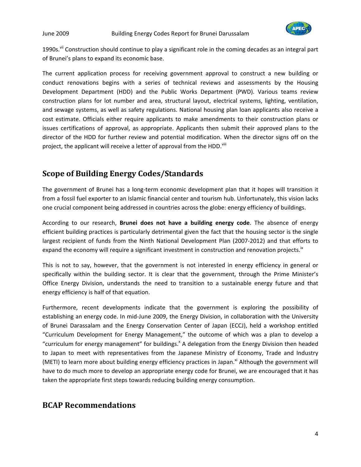

1990s.<sup>Vii</sup> Construction should continue to play a significant role in the coming decades as an integral part of Brunei's plans to expand its economic base.

The current application process for receiving government approval to construct a new building or conduct renovations begins with a series of technical reviews and assessments by the Housing Development Department (HDD) and the Public Works Department (PWD). Various teams review construction plans for lot number and area, structural layout, electrical systems, lighting, ventilation, and sewage systems, as well as safety regulations. National housing plan loan applicants also receive a cost estimate. Officials either require applicants to make amendments to their construction plans or issues certifications of approval, as appropriate. Applicants then submit their approved plans to the director of the HDD for further review and potential modification. When the director signs off on the project, the applicant will receive a letter of approval from the HDD.<sup>viii</sup>

# **Scope of Building Energy Codes/Standards**

The government of Brunei has a long‐term economic development plan that it hopes will transition it from a fossil fuel exporter to an Islamic financial center and tourism hub. Unfortunately, this vision lacks one crucial component being addressed in countries across the globe: energy efficiency of buildings.

According to our research, **Brunei does not have a building energy code**. The absence of energy efficient building practices is particularly detrimental given the fact that the housing sector is the single largest recipient of funds from the Ninth National Development Plan (2007‐2012) and that efforts to expand the economy will require a significant investment in construction and renovation projects.<sup>ix</sup>

This is not to say, however, that the government is not interested in energy efficiency in general or specifically within the building sector. It is clear that the government, through the Prime Minister's Office Energy Division, understands the need to transition to a sustainable energy future and that energy efficiency is half of that equation.

Furthermore, recent developments indicate that the government is exploring the possibility of establishing an energy code. In mid‐June 2009, the Energy Division, in collaboration with the University of Brunei Darassalam and the Energy Conservation Center of Japan (ECCJ), held a workshop entitled "Curriculum Development for Energy Management," the outcome of which was a plan to develop a "curriculum for energy management" for buildings.<sup>x</sup> A delegation from the Energy Division then headed to Japan to meet with representatives from the Japanese Ministry of Economy, Trade and Industry (METI) to learn more about building energy efficiency practices in Japan.<sup>xi</sup> Although the government will have to do much more to develop an appropriate energy code for Brunei, we are encouraged that it has taken the appropriate first steps towards reducing building energy consumption.

## **BCAP Recommendations**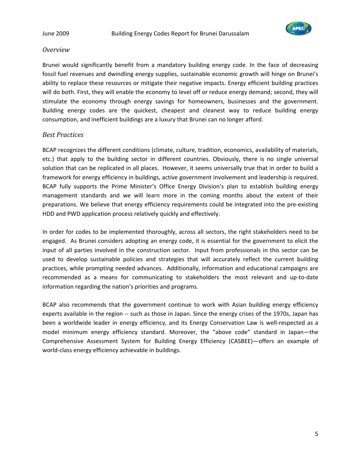

#### *Overview*

Brunei would significantly benefit from a mandatory building energy code. In the face of decreasing fossil fuel revenues and dwindling energy supplies, sustainable economic growth will hinge on Brunei's ability to replace these resources or mitigate their negative impacts. Energy efficient building practices will do both. First, they will enable the economy to level off or reduce energy demand; second, they will stimulate the economy through energy savings for homeowners, businesses and the government. Building energy codes are the quickest, cheapest and cleanest way to reduce building energy consumption, and inefficient buildings are a luxury that Brunei can no longer afford.

### *Best Practices*

BCAP recognizes the different conditions (climate, culture, tradition, economics, availability of materials, etc.) that apply to the building sector in different countries. Obviously, there is no single universal solution that can be replicated in all places. However, it seems universally true that in order to build a framework for energy efficiency in buildings, active government involvement and leadership is required. BCAP fully supports the Prime Minister's Office Energy Division's plan to establish building energy management standards and we will learn more in the coming months about the extent of their preparations. We believe that energy efficiency requirements could be integrated into the pre‐existing HDD and PWD application process relatively quickly and effectively.

In order for codes to be implemented thoroughly, across all sectors, the right stakeholders need to be engaged. As Brunei considers adopting an energy code, it is essential for the government to elicit the input of all parties involved in the construction sector. Input from professionals in this sector can be used to develop sustainable policies and strategies that will accurately reflect the current building practices, while prompting needed advances. Additionally, information and educational campaigns are recommended as a means for communicating to stakeholders the most relevant and up-to-date information regarding the nation's priorities and programs.

BCAP also recommends that the government continue to work with Asian building energy efficiency experts available in the region ‐‐ such as those in Japan. Since the energy crises of the 1970s, Japan has been a worldwide leader in energy efficiency, and its Energy Conservation Law is well-respected as a model minimum energy efficiency standard. Moreover, the "above code" standard in Japan—the Comprehensive Assessment System for Building Energy Efficiency (CASBEE)—offers an example of world-class energy efficiency achievable in buildings.